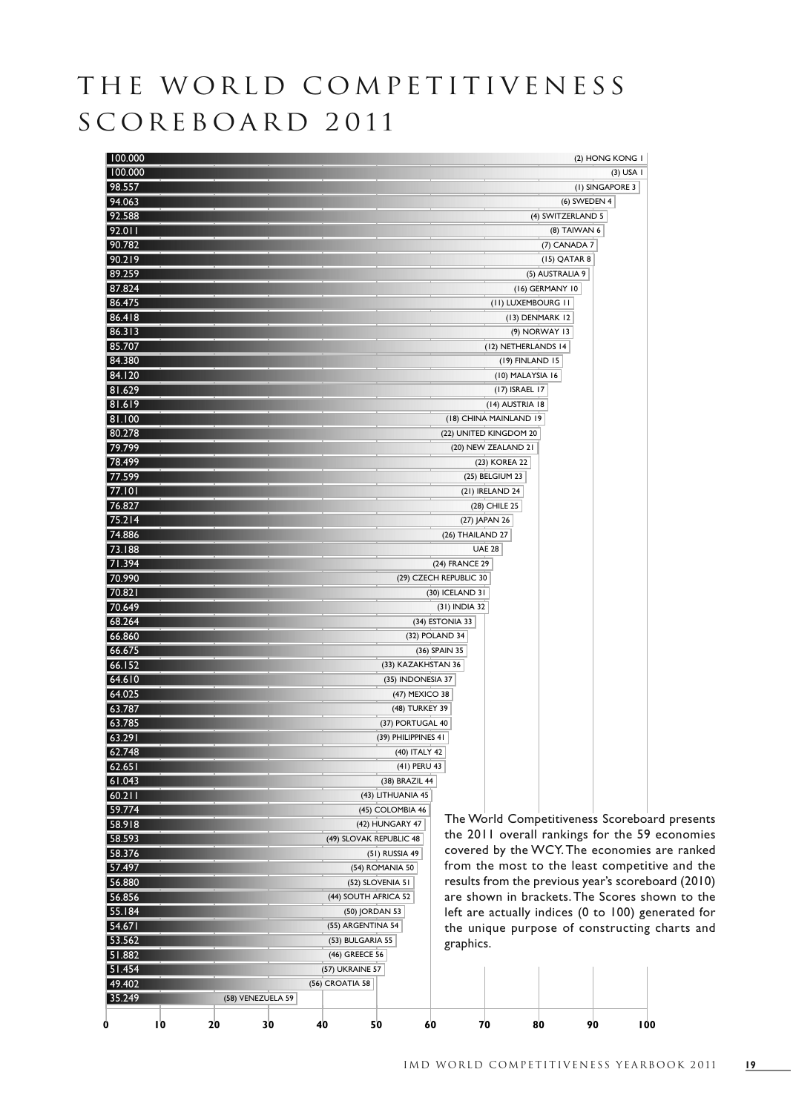## THE WORLD COMPETITIVENESS SCOREBOARD 2011

| 100.000                     |                         |                        |                   | (2) HONG KONG I                                    |
|-----------------------------|-------------------------|------------------------|-------------------|----------------------------------------------------|
| 100.000                     |                         |                        |                   | $(3)$ USA I                                        |
| 98.557                      |                         |                        |                   | (I) SINGAPORE 3                                    |
| 94.063                      |                         |                        | (6) SWEDEN 4      |                                                    |
| 92.588                      |                         |                        | (4) SWITZERLAND 5 |                                                    |
| 92.011                      |                         |                        | (8) TAIWAN 6      |                                                    |
| 90.782                      |                         |                        | (7) CANADA 7      |                                                    |
| 90.219                      |                         |                        | (15) QATAR 8      |                                                    |
| 89.259                      |                         |                        | (5) AUSTRALIA 9   |                                                    |
| 87.824                      |                         |                        | (16) GERMANY 10   |                                                    |
| 86.475                      |                         | (II) LUXEMBOURG II     |                   |                                                    |
| 86.418                      |                         | (13) DENMARK 12        |                   |                                                    |
| 86.313                      |                         | (9) NORWAY 13          |                   |                                                    |
| 85.707                      |                         | (12) NETHERLANDS 14    |                   |                                                    |
| 84.380                      |                         | (19) FINLAND 15        |                   |                                                    |
| 84.120                      |                         | (10) MALAYSIA 16       |                   |                                                    |
| 81.629                      |                         | (17) ISRAEL 17         |                   |                                                    |
| 81.619                      |                         | (14) AUSTRIA 18        |                   |                                                    |
| 81.100                      |                         | (18) CHINA MAINLAND 19 |                   |                                                    |
| 80.278                      |                         | (22) UNITED KINGDOM 20 |                   |                                                    |
| 79.799                      |                         | (20) NEW ZEALAND 21    |                   |                                                    |
| 78.499                      |                         | (23) KOREA 22          |                   |                                                    |
| 77.599                      |                         | (25) BELGIUM 23        |                   |                                                    |
| 77.101                      |                         | (21) IRELAND 24        |                   |                                                    |
| 76.827                      |                         | (28) CHILE 25          |                   |                                                    |
| 75.214                      |                         | (27) JAPAN 26          |                   |                                                    |
| 74.886                      |                         | (26) THAILAND 27       |                   |                                                    |
| 73.188                      |                         | <b>UAE 28</b>          |                   |                                                    |
| 71.394                      |                         | (24) FRANCE 29         |                   |                                                    |
| 70.990                      |                         | (29) CZECH REPUBLIC 30 |                   |                                                    |
| 70.821                      |                         | (30) ICELAND 31        |                   |                                                    |
| 70.649                      |                         | (31) INDIA 32          |                   |                                                    |
| 68.264                      |                         | (34) ESTONIA 33        |                   |                                                    |
| 66.860                      | (32) POLAND 34          |                        |                   |                                                    |
| 66.675                      |                         | (36) SPAIN 35          |                   |                                                    |
| 66.152                      | (33) KAZAKHSTAN 36      |                        |                   |                                                    |
| 64.610                      | (35) INDONESIA 37       |                        |                   |                                                    |
| 64.025                      | (47) MEXICO 38          |                        |                   |                                                    |
| 63.787                      | (48) TURKEY 39          |                        |                   |                                                    |
| 63.785                      | (37) PORTUGAL 40        |                        |                   |                                                    |
| 63.291                      | (39) PHILIPPINES 41     |                        |                   |                                                    |
| 62.748                      | (40) ITALY 42           |                        |                   |                                                    |
| 62.651                      | (41) PERU 43            |                        |                   |                                                    |
| 61.043                      | (38) BRAZIL 44          |                        |                   |                                                    |
| 60.211                      | (43) LITHUANIA 45       |                        |                   |                                                    |
| 59.774                      | (45) COLOMBIA 46        |                        |                   |                                                    |
| 58.918                      | (42) HUNGARY 47         |                        |                   | The World Competitiveness Scoreboard presents      |
| 58.593                      | (49) SLOVAK REPUBLIC 48 |                        |                   | the 2011 overall rankings for the 59 economies     |
| 58.376                      | (51) RUSSIA 49          |                        |                   | covered by the WCY. The economies are ranked       |
| 57.497                      | (54) ROMANIA 50         |                        |                   | from the most to the least competitive and the     |
| 56.880                      | (52) SLOVENIA 51        |                        |                   | results from the previous year's scoreboard (2010) |
| 56.856                      | (44) SOUTH AFRICA 52    |                        |                   | are shown in brackets. The Scores shown to the     |
| 55.184                      | (50) JORDAN 53          |                        |                   | left are actually indices (0 to 100) generated for |
| 54.671                      | (55) ARGENTINA 54       |                        |                   | the unique purpose of constructing charts and      |
| 53.562                      | (53) BULGARIA 55        | graphics.              |                   |                                                    |
| 51.882                      | (46) GREECE 56          |                        |                   |                                                    |
| 51.454                      | <b>(57) UKRAINE 57</b>  |                        |                   |                                                    |
| 49.402                      | (56) CROATIA 58         |                        |                   |                                                    |
| 35.249<br>(58) VENEZUELA 59 |                         |                        |                   |                                                    |
|                             |                         |                        |                   |                                                    |
| IO<br>40<br>20<br>30<br>0   | 50<br>60                | 70<br>80               | 90                | 100                                                |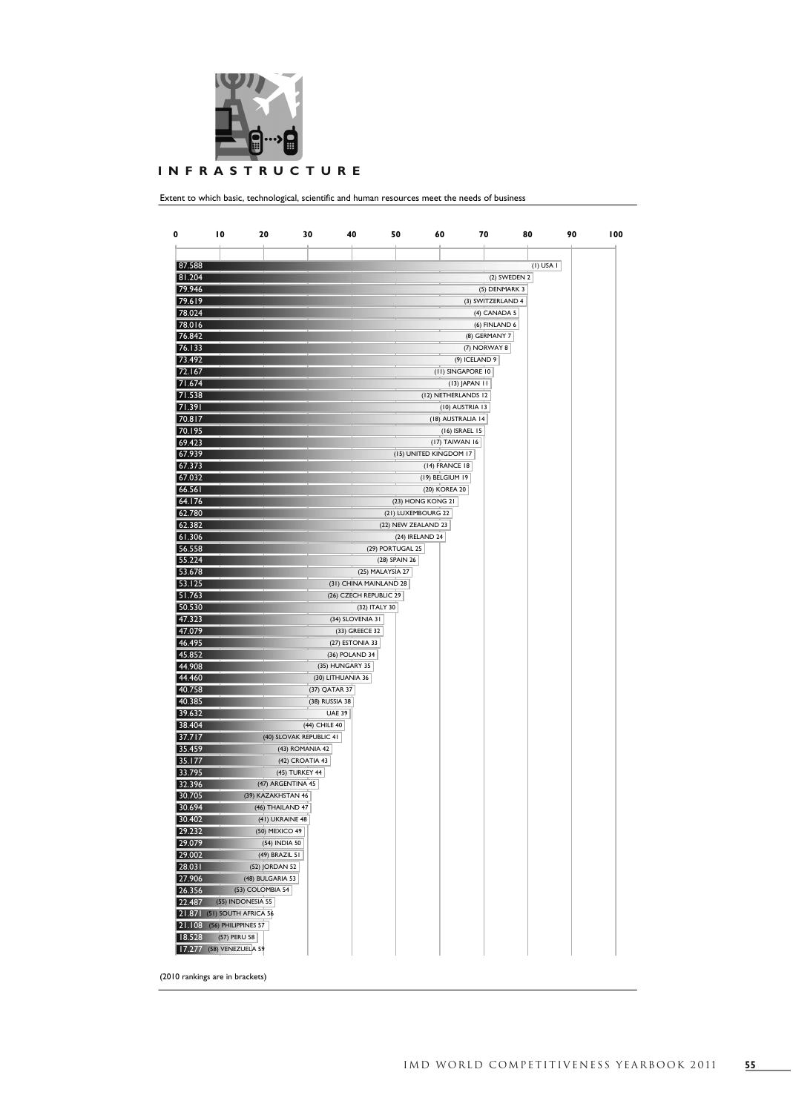

Extent to which basic, technological, scientific and human resources meet the needs of business

| 0                | 10                                | 20                                   | 30                                 | 40                                | 50                                        | 60                     | 70                                 | 80            | 90 | 100 |
|------------------|-----------------------------------|--------------------------------------|------------------------------------|-----------------------------------|-------------------------------------------|------------------------|------------------------------------|---------------|----|-----|
|                  |                                   |                                      |                                    |                                   |                                           |                        |                                    |               |    |     |
| 87.588           |                                   |                                      |                                    |                                   |                                           |                        |                                    | $(I)$ USA $I$ |    |     |
| 81.204           |                                   |                                      |                                    |                                   |                                           |                        |                                    | (2) SWEDEN 2  |    |     |
| 79.946           |                                   |                                      |                                    |                                   |                                           |                        | (5) DENMARK 3                      |               |    |     |
| 79.619           |                                   |                                      |                                    |                                   |                                           |                        | (3) SWITZERLAND 4                  |               |    |     |
| 78.024           |                                   |                                      |                                    |                                   |                                           |                        | (4) CANADA 5                       |               |    |     |
| 78.016           |                                   |                                      |                                    |                                   |                                           |                        | (6) FINLAND 6                      |               |    |     |
| 76.842           |                                   |                                      |                                    |                                   |                                           |                        | (8) GERMANY 7                      |               |    |     |
| 76.133           |                                   |                                      |                                    |                                   |                                           |                        | (7) NORWAY 8                       |               |    |     |
| 73.492           |                                   |                                      |                                    |                                   |                                           |                        | (9) ICELAND 9                      |               |    |     |
| 72.167<br>71.674 |                                   |                                      |                                    |                                   |                                           |                        | (II) SINGAPORE 10<br>(13) JAPAN 11 |               |    |     |
| 71.538           |                                   |                                      |                                    |                                   |                                           | (12) NETHERLANDS 12    |                                    |               |    |     |
| 71.391           |                                   |                                      |                                    |                                   |                                           |                        | (10) AUSTRIA 13                    |               |    |     |
| 70.817           |                                   |                                      |                                    |                                   |                                           | (18) AUSTRALIA 14      |                                    |               |    |     |
| 70.195           |                                   |                                      |                                    |                                   |                                           |                        | (16) ISRAEL 15                     |               |    |     |
| 69.423           |                                   |                                      |                                    |                                   |                                           | (17) TAIWAN 16         |                                    |               |    |     |
| 67.939           |                                   |                                      |                                    |                                   |                                           | (15) UNITED KINGDOM 17 |                                    |               |    |     |
| 67.373           |                                   |                                      |                                    |                                   |                                           | (14) FRANCE 18         |                                    |               |    |     |
| 67.032           |                                   |                                      |                                    |                                   |                                           | (19) BELGIUM 19        |                                    |               |    |     |
| 66.561           |                                   |                                      |                                    |                                   |                                           | (20) KOREA 20          |                                    |               |    |     |
| 64.176<br>62.780 |                                   |                                      |                                    |                                   |                                           | (23) HONG KONG 21      |                                    |               |    |     |
| 62.382           |                                   |                                      |                                    |                                   | (21) LUXEMBOURG 22<br>(22) NEW ZEALAND 23 |                        |                                    |               |    |     |
| 61.306           |                                   |                                      |                                    |                                   |                                           | (24) IRELAND 24        |                                    |               |    |     |
| 56.558           |                                   |                                      |                                    |                                   | (29) PORTUGAL 25                          |                        |                                    |               |    |     |
| 55.224           |                                   |                                      |                                    |                                   | (28) SPAIN 26                             |                        |                                    |               |    |     |
| 53.678           |                                   |                                      |                                    |                                   | (25) MALAYSIA 27                          |                        |                                    |               |    |     |
| 53.125           |                                   |                                      |                                    | (31) CHINA MAINLAND 28            |                                           |                        |                                    |               |    |     |
| 51.763           |                                   |                                      |                                    | (26) CZECH REPUBLIC 29            |                                           |                        |                                    |               |    |     |
| 50.530           |                                   |                                      |                                    |                                   | (32) ITALY 30                             |                        |                                    |               |    |     |
| 47.323           |                                   |                                      |                                    | (34) SLOVENIA 31                  |                                           |                        |                                    |               |    |     |
| 47.079<br>46.495 |                                   |                                      |                                    | (33) GREECE 32<br>(27) ESTONIA 33 |                                           |                        |                                    |               |    |     |
| 45.852           |                                   |                                      |                                    | (36) POLAND 34                    |                                           |                        |                                    |               |    |     |
| 44.908           |                                   |                                      |                                    | (35) HUNGARY 35                   |                                           |                        |                                    |               |    |     |
| 44.460           |                                   |                                      |                                    | (30) LITHUANIA 36                 |                                           |                        |                                    |               |    |     |
| 40.758           |                                   |                                      | (37) QATAR 37                      |                                   |                                           |                        |                                    |               |    |     |
| 40.385           |                                   |                                      | (38) RUSSIA 38                     |                                   |                                           |                        |                                    |               |    |     |
| 39.632           |                                   |                                      |                                    | <b>UAE 39</b>                     |                                           |                        |                                    |               |    |     |
| 38.404           |                                   |                                      | (44) CHILE 40                      |                                   |                                           |                        |                                    |               |    |     |
| 37.717           |                                   |                                      | (40) SLOVAK REPUBLIC 41            |                                   |                                           |                        |                                    |               |    |     |
| 35.459<br>35.177 |                                   |                                      | (43) ROMANIA 42<br>(42) CROATIA 43 |                                   |                                           |                        |                                    |               |    |     |
| 33.795           |                                   |                                      | (45) TURKEY 44                     |                                   |                                           |                        |                                    |               |    |     |
| 32.396           |                                   | (47) ARGENTINA 45                    |                                    |                                   |                                           |                        |                                    |               |    |     |
| 30.705           |                                   | (39) KAZAKHSTAN 46                   |                                    |                                   |                                           |                        |                                    |               |    |     |
| 30.694           |                                   | $(46)$ THAILAND 47                   |                                    |                                   |                                           |                        |                                    |               |    |     |
| 30.402           |                                   | (41) UKRAINE 48                      |                                    |                                   |                                           |                        |                                    |               |    |     |
| 29.232           |                                   | (50) MEXICO 49                       |                                    |                                   |                                           |                        |                                    |               |    |     |
| 29.079           |                                   | (54) INDIA 50                        |                                    |                                   |                                           |                        |                                    |               |    |     |
| 29.002           |                                   | (49) BRAZIL 51                       |                                    |                                   |                                           |                        |                                    |               |    |     |
| 28.031           |                                   | (52) JORDAN 52                       |                                    |                                   |                                           |                        |                                    |               |    |     |
| 27.906<br>26.356 |                                   | (48) BULGARIA 53<br>(53) COLOMBIA 54 |                                    |                                   |                                           |                        |                                    |               |    |     |
| 22.487           |                                   | (55) INDONESIA 55                    |                                    |                                   |                                           |                        |                                    |               |    |     |
|                  | 21.871 (51) SOUTH AFRICA 56       |                                      |                                    |                                   |                                           |                        |                                    |               |    |     |
|                  | <b>21.108</b> (56) PHILIPPINES 57 |                                      |                                    |                                   |                                           |                        |                                    |               |    |     |
| 18.528           | (57) PERU 58                      |                                      |                                    |                                   |                                           |                        |                                    |               |    |     |
|                  | 17.277 (58) VENEZUELA 59          |                                      |                                    |                                   |                                           |                        |                                    |               |    |     |

(2010 rankings are in brackets)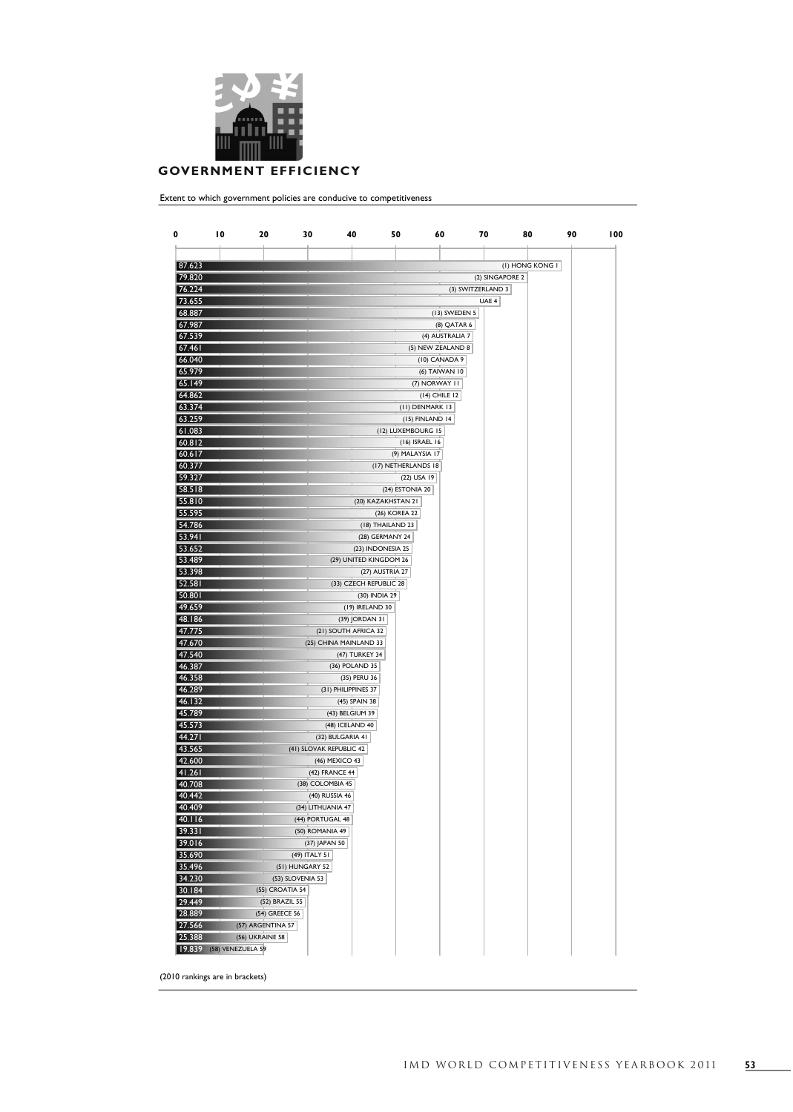

## **GOVERNMENT EFFICIENCY**

Extent to which government policies are conducive to competitiveness

| 0                | 10                       | 20                     | 30                      | 40                     | 50<br>60            |                   | 70              | 80              | 90 | 100 |
|------------------|--------------------------|------------------------|-------------------------|------------------------|---------------------|-------------------|-----------------|-----------------|----|-----|
|                  |                          |                        |                         |                        |                     |                   |                 |                 |    |     |
|                  |                          |                        |                         |                        |                     |                   |                 |                 |    |     |
| 87.623           |                          |                        |                         |                        |                     |                   |                 | (I) HONG KONG I |    |     |
| 79.820           |                          |                        |                         |                        |                     |                   | (2) SINGAPORE 2 |                 |    |     |
| 76.224           |                          |                        |                         |                        |                     | (3) SWITZERLAND 3 |                 |                 |    |     |
| 73.655           |                          |                        |                         |                        |                     |                   | UAE 4           |                 |    |     |
| 68.887           |                          |                        |                         |                        |                     | (13) SWEDEN 5     |                 |                 |    |     |
| 67.987<br>67.539 |                          |                        |                         |                        |                     | (8) QATAR 6       |                 |                 |    |     |
| 67.461           |                          |                        |                         |                        |                     | (4) AUSTRALIA 7   |                 |                 |    |     |
| 66.040           |                          |                        |                         |                        | (5) NEW ZEALAND 8   | (10) CANADA 9     |                 |                 |    |     |
| 65.979           |                          |                        |                         |                        |                     | (6) TAIWAN 10     |                 |                 |    |     |
| 65.149           |                          |                        |                         |                        | (7) NORWAY II       |                   |                 |                 |    |     |
| 64.862           |                          |                        |                         |                        | (14) CHILE 12       |                   |                 |                 |    |     |
| 63.374           |                          |                        |                         |                        | (II) DENMARK 13     |                   |                 |                 |    |     |
| 63.259           |                          |                        |                         |                        | (15) FINLAND 14     |                   |                 |                 |    |     |
| 61.083           |                          |                        |                         |                        | (12) LUXEMBOURG 15  |                   |                 |                 |    |     |
| 60.812           |                          |                        |                         |                        | (16) ISRAEL 16      |                   |                 |                 |    |     |
| 60.617           |                          |                        |                         |                        | (9) MALAYSIA 17     |                   |                 |                 |    |     |
| 60.377           |                          |                        |                         |                        | (17) NETHERLANDS 18 |                   |                 |                 |    |     |
| 59.327           |                          |                        |                         |                        | (22) USA 19         |                   |                 |                 |    |     |
| 58.518           |                          |                        |                         |                        | (24) ESTONIA 20     |                   |                 |                 |    |     |
| 55.810           |                          |                        |                         | (20) KAZAKHSTAN 21     |                     |                   |                 |                 |    |     |
| 55.595           |                          |                        |                         |                        | (26) KOREA 22       |                   |                 |                 |    |     |
| 54.786           |                          |                        |                         | (18) THAILAND 23       |                     |                   |                 |                 |    |     |
| 53.941           |                          |                        |                         | (28) GERMANY 24        |                     |                   |                 |                 |    |     |
| 53.652           |                          |                        |                         | (23) INDONESIA 25      |                     |                   |                 |                 |    |     |
| 53.489           |                          |                        |                         | (29) UNITED KINGDOM 26 |                     |                   |                 |                 |    |     |
| 53.398           |                          |                        |                         | (27) AUSTRIA 27        |                     |                   |                 |                 |    |     |
| 52.581           |                          |                        |                         | (33) CZECH REPUBLIC 28 |                     |                   |                 |                 |    |     |
| 50.801           |                          |                        |                         | (30) INDIA 29          |                     |                   |                 |                 |    |     |
| 49.659           |                          |                        |                         | (19) IRELAND 30        |                     |                   |                 |                 |    |     |
| 48.186           |                          |                        |                         | (39) JORDAN 31         |                     |                   |                 |                 |    |     |
| 47.775           |                          |                        | (21) SOUTH AFRICA 32    |                        |                     |                   |                 |                 |    |     |
| 47.670           |                          |                        | (25) CHINA MAINLAND 33  |                        |                     |                   |                 |                 |    |     |
| 47.540           |                          |                        |                         | (47) TURKEY 34         |                     |                   |                 |                 |    |     |
| 46.387           |                          |                        |                         | (36) POLAND 35         |                     |                   |                 |                 |    |     |
| 46.358<br>46.289 |                          |                        |                         | (35) PERU 36           |                     |                   |                 |                 |    |     |
| 46.132           |                          |                        | (31) PHILIPPINES 37     | (45) SPAIN 38          |                     |                   |                 |                 |    |     |
| 45.789           |                          |                        |                         | (43) BELGIUM 39        |                     |                   |                 |                 |    |     |
| 45.573           |                          |                        | (48) ICELAND 40         |                        |                     |                   |                 |                 |    |     |
| 44.271           |                          |                        | (32) BULGARIA 41        |                        |                     |                   |                 |                 |    |     |
| 43.565           |                          |                        | (41) SLOVAK REPUBLIC 42 |                        |                     |                   |                 |                 |    |     |
| 42.600           |                          |                        | (46) MEXICO 43          |                        |                     |                   |                 |                 |    |     |
| 41.261           |                          |                        | (42) FRANCE 44          |                        |                     |                   |                 |                 |    |     |
| 40.708           |                          |                        | (38) COLOMBIA 45        |                        |                     |                   |                 |                 |    |     |
| 40.442           |                          |                        | (40) RUSSIA 46          |                        |                     |                   |                 |                 |    |     |
| 40.409           |                          |                        | $(34)$ LITHUANIA 4/     |                        |                     |                   |                 |                 |    |     |
| 40.116           |                          |                        | (44) PORTUGAL 48        |                        |                     |                   |                 |                 |    |     |
| 39.331           |                          |                        | (50) ROMANIA 49         |                        |                     |                   |                 |                 |    |     |
| 39.016           |                          |                        | (37) JAPAN 50           |                        |                     |                   |                 |                 |    |     |
| 35.690           |                          |                        | (49) ITALY 51           |                        |                     |                   |                 |                 |    |     |
| 35.496           |                          | (51) HUNGARY 52        |                         |                        |                     |                   |                 |                 |    |     |
| 34.230           |                          | (53) SLOVENIA 53       |                         |                        |                     |                   |                 |                 |    |     |
| 30.184           |                          | (55) CROATIA 54        |                         |                        |                     |                   |                 |                 |    |     |
| 29.449           |                          | (52) BRAZIL 55         |                         |                        |                     |                   |                 |                 |    |     |
| 28.889           |                          | (54) GREECE 56         |                         |                        |                     |                   |                 |                 |    |     |
| 27.566           |                          | (57) ARGENTINA 57      |                         |                        |                     |                   |                 |                 |    |     |
| 25.388           |                          | <b>(56) UKRAINE 58</b> |                         |                        |                     |                   |                 |                 |    |     |
|                  | 19.839 (58) VENEZUELA 59 |                        |                         |                        |                     |                   |                 |                 |    |     |

(2010 rankings are in brackets)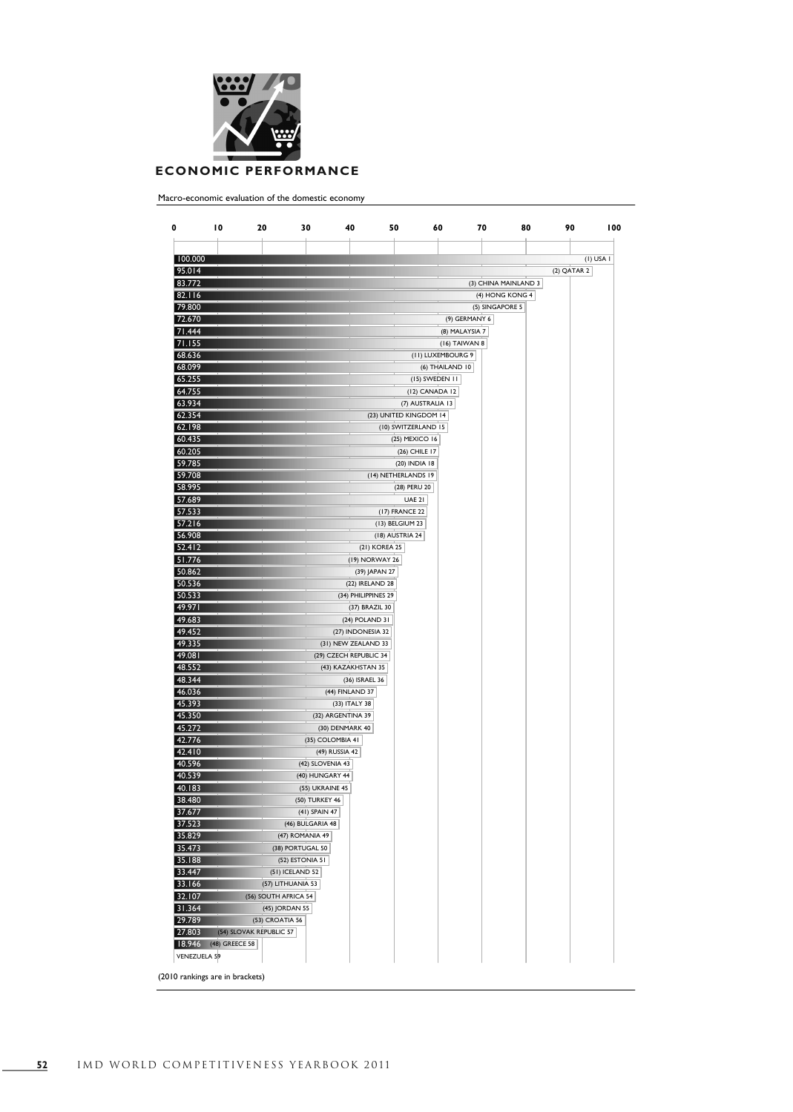

## **ECONOMIC PERFORMANCE**

Macro-economic evaluation of the domestic economy

|                  |                         |                      | 30                | 40                     | 50                     | 60                | 70              |                      |             | 90<br>100   |
|------------------|-------------------------|----------------------|-------------------|------------------------|------------------------|-------------------|-----------------|----------------------|-------------|-------------|
|                  |                         |                      |                   |                        |                        |                   |                 |                      |             |             |
| 100.000          |                         |                      |                   |                        |                        |                   |                 |                      |             | $(I)$ USA I |
| 95.014           |                         |                      |                   |                        |                        |                   |                 |                      | (2) QATAR 2 |             |
| 83.772           |                         |                      |                   |                        |                        |                   |                 | (3) CHINA MAINLAND 3 |             |             |
| 82.116<br>79.800 |                         |                      |                   |                        |                        |                   |                 | (4) HONG KONG 4      |             |             |
|                  |                         |                      |                   |                        |                        |                   | (5) SINGAPORE 5 |                      |             |             |
| 72.670<br>71.444 |                         |                      |                   |                        |                        |                   | (9) GERMANY 6   |                      |             |             |
|                  |                         |                      |                   |                        |                        | (8) MALAYSIA 7    |                 |                      |             |             |
| 71.155           |                         |                      |                   |                        |                        | (16) TAIWAN 8     |                 |                      |             |             |
| 68.636           |                         |                      |                   |                        |                        | (II) LUXEMBOURG 9 |                 |                      |             |             |
| 68.099           |                         |                      |                   |                        |                        | (6) THAILAND 10   |                 |                      |             |             |
| 65.255           |                         |                      |                   |                        |                        | (15) SWEDEN 11    |                 |                      |             |             |
| 64.755           |                         |                      |                   |                        | (12) CANADA 12         |                   |                 |                      |             |             |
| 63.934           |                         |                      |                   |                        | (7) AUSTRALIA 13       |                   |                 |                      |             |             |
| 62.354           |                         |                      |                   |                        | (23) UNITED KINGDOM 14 |                   |                 |                      |             |             |
| 62.198           |                         |                      |                   |                        | (10) SWITZERLAND 15    |                   |                 |                      |             |             |
| 60.435           |                         |                      |                   |                        | (25) MEXICO 16         |                   |                 |                      |             |             |
| 60.205           |                         |                      |                   |                        | (26) CHILE 17          |                   |                 |                      |             |             |
| 59.785           |                         |                      |                   |                        | (20) INDIA 18          |                   |                 |                      |             |             |
| 59.708           |                         |                      |                   |                        | (14) NETHERLANDS 19    |                   |                 |                      |             |             |
| 58.995           |                         |                      |                   |                        | (28) PERU 20           |                   |                 |                      |             |             |
| 57.689           |                         |                      |                   |                        | <b>UAE 21</b>          |                   |                 |                      |             |             |
| 57.533           |                         |                      |                   |                        | (17) FRANCE 22         |                   |                 |                      |             |             |
| 57.216           |                         |                      |                   |                        | (13) BELGIUM 23        |                   |                 |                      |             |             |
| 56.908           |                         |                      |                   |                        | (18) AUSTRIA 24        |                   |                 |                      |             |             |
| 52.412           |                         |                      |                   | (21) KOREA 25          |                        |                   |                 |                      |             |             |
| 51.776           |                         |                      |                   | (19) NORWAY 26         |                        |                   |                 |                      |             |             |
| 50.862           |                         |                      |                   | (39) JAPAN 27          |                        |                   |                 |                      |             |             |
| 50.536           |                         |                      |                   | (22) IRELAND 28        |                        |                   |                 |                      |             |             |
| 50.533           |                         |                      |                   | (34) PHILIPPINES 29    |                        |                   |                 |                      |             |             |
| 49.971           |                         |                      |                   | (37) BRAZIL 30         |                        |                   |                 |                      |             |             |
| 49.683           |                         |                      |                   | (24) POLAND 31         |                        |                   |                 |                      |             |             |
| 49.452           |                         |                      |                   | (27) INDONESIA 32      |                        |                   |                 |                      |             |             |
| 49.335           |                         |                      |                   | (31) NEW ZEALAND 33    |                        |                   |                 |                      |             |             |
| 49.081           |                         |                      |                   | (29) CZECH REPUBLIC 34 |                        |                   |                 |                      |             |             |
| 48.552           |                         |                      |                   | (43) KAZAKHSTAN 35     |                        |                   |                 |                      |             |             |
| 48.344           |                         |                      |                   | (36) ISRAEL 36         |                        |                   |                 |                      |             |             |
| 46.036           |                         |                      |                   | (44) FINLAND 37        |                        |                   |                 |                      |             |             |
| 45.393           |                         |                      |                   | (33) ITALY 38          |                        |                   |                 |                      |             |             |
| 45.350           |                         |                      | (32) ARGENTINA 39 |                        |                        |                   |                 |                      |             |             |
| 45.272           |                         |                      | (30) DENMARK 40   |                        |                        |                   |                 |                      |             |             |
| 42.776           |                         |                      | (35) COLOMBIA 41  |                        |                        |                   |                 |                      |             |             |
| 42.410           |                         |                      | (49) RUSSIA 42    |                        |                        |                   |                 |                      |             |             |
| 40.596           |                         |                      | (42) SLOVENIA 43  |                        |                        |                   |                 |                      |             |             |
| 40.539           |                         |                      | (40) HUNGARY 44   |                        |                        |                   |                 |                      |             |             |
| 40.183           |                         |                      | (55) UKRAINE 45   |                        |                        |                   |                 |                      |             |             |
| 38.480           |                         |                      | (50) TURKEY 46    |                        |                        |                   |                 |                      |             |             |
| 37.677           |                         |                      | (41) SPAIN 47     |                        |                        |                   |                 |                      |             |             |
| 37.523           |                         |                      | (46) BULGARIA 48  |                        |                        |                   |                 |                      |             |             |
| 35.829           |                         | (47) ROMANIA 49      |                   |                        |                        |                   |                 |                      |             |             |
| 35.473           |                         | (38) PORTUGAL 50     |                   |                        |                        |                   |                 |                      |             |             |
| 35.188           |                         | (52) ESTONIA 51      |                   |                        |                        |                   |                 |                      |             |             |
| 33.447           |                         | $(51)$ ICELAND 52    |                   |                        |                        |                   |                 |                      |             |             |
| 33.166           |                         | (57) LITHUANIA 53    |                   |                        |                        |                   |                 |                      |             |             |
| 32.107           |                         | (56) SOUTH AFRICA 54 |                   |                        |                        |                   |                 |                      |             |             |
| 31.364           |                         | (45) JORDAN 55       |                   |                        |                        |                   |                 |                      |             |             |
| 29.789           |                         | (53) CROATIA 56      |                   |                        |                        |                   |                 |                      |             |             |
| 27.803           | (54) SLOVAK REPUBLIC 57 |                      |                   |                        |                        |                   |                 |                      |             |             |
| 18.946           | (48) GREECE 58          |                      |                   |                        |                        |                   |                 |                      |             |             |
|                  | VENEZUELA 59            |                      |                   |                        |                        |                   |                 |                      |             |             |